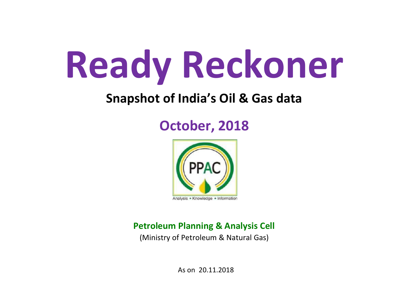# Ready Reckoner

## Snapshot of India's Oil & Gas data

## October, 2018



### Petroleum Planning & Analysis Cell

(Ministry of Petroleum & Natural Gas)

As on 20.11.2018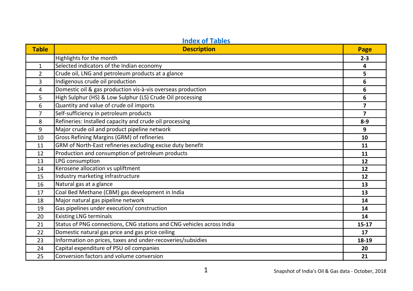| <b>Table</b>   | <b>Description</b>                                                    | Page                     |
|----------------|-----------------------------------------------------------------------|--------------------------|
|                | Highlights for the month                                              | $2 - 3$                  |
| 1              | Selected indicators of the Indian economy                             | 4                        |
| $\overline{2}$ | Crude oil, LNG and petroleum products at a glance                     | 5                        |
| 3              | Indigenous crude oil production                                       | 6                        |
| 4              | Domestic oil & gas production vis-à-vis overseas production           | 6                        |
| 5              | High Sulphur (HS) & Low Sulphur (LS) Crude Oil processing             | 6                        |
| 6              | Quantity and value of crude oil imports                               | 7                        |
| $\overline{7}$ | Self-sufficiency in petroleum products                                | $\overline{\phantom{a}}$ |
| 8              | Refineries: Installed capacity and crude oil processing               | $8-9$                    |
| 9              | Major crude oil and product pipeline network                          | 9                        |
| 10             | Gross Refining Margins (GRM) of refineries                            | 10                       |
| 11             | GRM of North-East refineries excluding excise duty benefit            | 11                       |
| 12             | Production and consumption of petroleum products                      | 11                       |
| 13             | LPG consumption                                                       | 12                       |
| 14             | Kerosene allocation vs upliftment                                     | 12                       |
| 15             | Industry marketing infrastructure                                     | 12                       |
| 16             | Natural gas at a glance                                               | 13                       |
| 17             | Coal Bed Methane (CBM) gas development in India                       | 13                       |
| 18             | Major natural gas pipeline network                                    | 14                       |
| 19             | Gas pipelines under execution/ construction                           | 14                       |
| 20             | <b>Existing LNG terminals</b>                                         | 14                       |
| 21             | Status of PNG connections, CNG stations and CNG vehicles across India | $15 - 17$                |
| 22             | Domestic natural gas price and gas price ceiling                      | 17                       |
| 23             | Information on prices, taxes and under-recoveries/subsidies           | 18-19                    |
| 24             | Capital expenditure of PSU oil companies                              | 20                       |
| 25             | Conversion factors and volume conversion                              | 21                       |

#### Index of Tables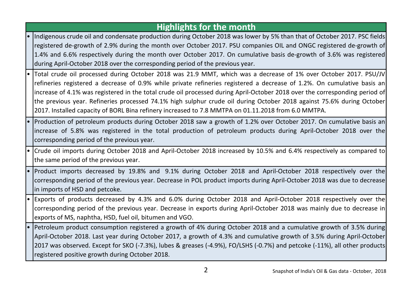#### Highlights for the month

- Indigenous crude oil and condensate production during October 2018 was lower by 5% than that of October 2017. PSC fields registered de-growth of 2.9% during the month over October 2017. PSU companies OIL and ONGC registered de-growth of 1.4% and 6.6% respectively during the month over October 2017. On cumulative basis de-growth of 3.6% was registered during April-October 2018 over the corresponding period of the previous year.
- Total crude oil processed during October 2018 was 21.9 MMT, which was a decrease of 1% over October 2017. PSU/JV refineries registered a decrease of 0.9% while private refineries registered a decrease of 1.2%. On cumulative basis an increase of 4.1% was registered in the total crude oil processed during April-October 2018 over the corresponding period of the previous year. Refineries processed 74.1% high sulphur crude oil during October 2018 against 75.6% during October 2017. Installed capacity of BORL Bina refinery increased to 7.8 MMTPA on 01.11.2018 from 6.0 MMTPA.
- Production of petroleum products during October 2018 saw a growth of 1.2% over October 2017. On cumulative basis an increase of 5.8% was registered in the total production of petroleum products during April-October 2018 over the corresponding period of the previous year.
- Crude oil imports during October 2018 and April-October 2018 increased by 10.5% and 6.4% respectively as compared to the same period of the previous year.
- Product imports decreased by 19.8% and 9.1% during October 2018 and April-October 2018 respectively over the corresponding period of the previous year. Decrease in POL product imports during April-October 2018 was due to decrease in imports of HSD and petcoke.
- Exports of products decreased by 4.3% and 6.0% during October 2018 and April-October 2018 respectively over the corresponding period of the previous year. Decrease in exports during April-October 2018 was mainly due to decrease in exports of MS, naphtha, HSD, fuel oil, bitumen and VGO.
- Petroleum product consumption registered a growth of 4% during October 2018 and a cumulative growth of 3.5% during April-October 2018. Last year during October 2017, a growth of 4.3% and cumulative growth of 3.5% during April-October 2017 was observed. Except for SKO (-7.3%), lubes & greases (-4.9%), FO/LSHS (-0.7%) and petcoke (-11%), all other products registered positive growth during October 2018.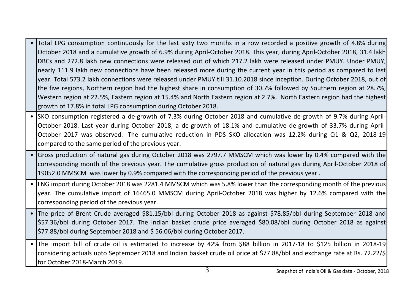- Total LPG consumption continuously for the last sixty two months in a row recorded a positive growth of 4.8% during October 2018 and a cumulative growth of 6.9% during April-October 2018. This year, during April-October 2018, 31.4 lakh DBCs and 272.8 lakh new connections were released out of which 217.2 lakh were released under PMUY. Under PMUY, nearly 111.9 lakh new connections have been released more during the current year in this period as compared to last year. Total 573.2 lakh connections were released under PMUY till 31.10.2018 since inception. During October 2018, out of the five regions, Northern region had the highest share in consumption of 30.7% followed by Southern region at 28.7%, Western region at 22.5%, Eastern region at 15.4% and North Eastern region at 2.7%. North Eastern region had the highest growth of 17.8% in total LPG consumption during October 2018.
- SKO consumption registered a de-growth of 7.3% during October 2018 and cumulative de-growth of 9.7% during April-October 2018. Last year during October 2018, a de-growth of 18.1% and cumulative de-growth of 33.7% during April-October 2017 was observed. The cumulative reduction in PDS SKO allocation was 12.2% during Q1 & Q2, 2018-19 compared to the same period of the previous year.
- Gross production of natural gas during October 2018 was 2797.7 MMSCM which was lower by 0.4% compared with the corresponding month of the previous year. The cumulative gross production of natural gas during April-October 2018 of 19052.0 MMSCM was lower by 0.9% compared with the corresponding period of the previous year .
- LNG import during October 2018 was 2281.4 MMSCM which was 5.8% lower than the corresponding month of the previous year. The cumulative import of 16465.0 MMSCM during April-October 2018 was higher by 12.6% compared with the corresponding period of the previous year.
- The price of Brent Crude averaged \$81.15/bbl during October 2018 as against \$78.85/bbl during September 2018 and \$57.36/bbl during October 2017. The Indian basket crude price averaged \$80.08/bbl during October 2018 as against \$77.88/bbl during September 2018 and \$ 56.06/bbl during October 2017.
- The import bill of crude oil is estimated to increase by 42% from \$88 billion in 2017-18 to \$125 billion in 2018-19 considering actuals upto September 2018 and Indian basket crude oil price at \$77.88/bbl and exchange rate at Rs. 72.22/\$ for October 2018-March 2019.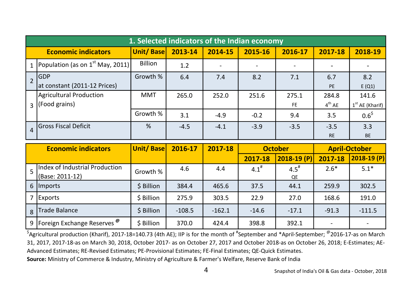| 1. Selected indicators of the Indian economy |                  |         |                          |         |           |             |                   |  |  |  |  |  |
|----------------------------------------------|------------------|---------|--------------------------|---------|-----------|-------------|-------------------|--|--|--|--|--|
| <b>Economic indicators</b>                   | <b>Unit/Base</b> | 2013-14 | 2014-15                  | 2015-16 | 2016-17   | 2017-18     | 2018-19           |  |  |  |  |  |
| Population (as on $1st$ May, 2011)           | <b>Billion</b>   | 1.2     | $\overline{\phantom{a}}$ |         |           |             |                   |  |  |  |  |  |
| <b>IGDP</b>                                  | Growth %         | 6.4     | 7.4                      | 8.2     | 7.1       | 6.7         | 8.2               |  |  |  |  |  |
| at constant (2011-12 Prices)                 |                  |         |                          |         |           | PE          | E(Q1)             |  |  |  |  |  |
| Agricultural Production                      | <b>MMT</b>       | 265.0   | 252.0                    | 251.6   | 275.1     | 284.8       | 141.6             |  |  |  |  |  |
| $\frac{1}{3}$ (Food grains)                  |                  |         |                          |         | <b>FE</b> | $4^{th}$ AE | $1st$ AE (Kharif) |  |  |  |  |  |
|                                              | Growth %         | 3.1     | $-4.9$                   | $-0.2$  | 9.4       | 3.5         | $0.6^{\$}$        |  |  |  |  |  |
| lGross Fiscal Deficit                        | %                | $-4.5$  | $-4.1$                   | $-3.9$  | $-3.5$    | $-3.5$      | 3.3               |  |  |  |  |  |
|                                              |                  |         |                          |         |           | <b>RE</b>   | <b>BE</b>         |  |  |  |  |  |

|   | <b>Economic indicators</b>                 | <b>Unit/Base</b> | 2016-17  | 2017-18  | <b>October</b> |              |                          | <b>April-October</b> |
|---|--------------------------------------------|------------------|----------|----------|----------------|--------------|--------------------------|----------------------|
|   |                                            |                  |          |          | 2017-18        | $2018-19(P)$ | 2017-18                  | $2018-19(P)$         |
|   | Index of Industrial Production             | Growth %         | 4.6      | 4.4      | $4.1^{#}$      | $4.5^{\#}$   | $2.6*$                   | $5.1*$               |
|   | (Base: 2011-12)                            |                  |          |          |                | QE           |                          |                      |
|   | 6 Imports                                  | \$ Billion       | 384.4    | 465.6    | 37.5           | 44.1         | 259.9                    | 302.5                |
|   | Exports                                    | \$ Billion       | 275.9    | 303.5    | 22.9           | 27.0         | 168.6                    | 191.0                |
| 8 | Trade Balance                              | \$ Billion       | $-108.5$ | $-162.1$ | $-14.6$        | $-17.1$      | $-91.3$                  | $-111.5$             |
|   | 9   Foreign Exchange Reserves <sup>@</sup> | \$ Billion       | 370.0    | 424.4    | 398.8          | 392.1        | $\overline{\phantom{a}}$ |                      |

 $^{\circ}$ Agricultural production (Kharif), 2017-18=140.73 (4th AE); IIP is for the month of "September and \*April-September;  $^{\circledR}$ 2016-17-as on March 31, 2017, 2017-18-as on March 30, 2018, October 2017- as on October 27, 2017 and October 2018-as on October 26, 2018; E-Estimates; AE-Advanced Estimates; RE-Revised Estimates; PE-Provisional Estimates; FE-Final Estimates; QE-Quick Estimates.

Source: Ministry of Commerce & Industry, Ministry of Agriculture & Farmer's Welfare, Reserve Bank of India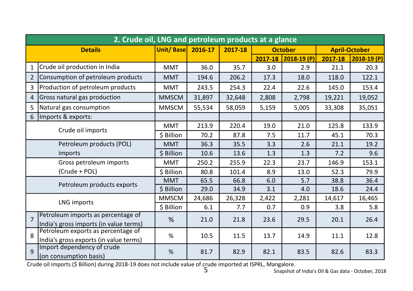|                          | 2. Crude oil, LNG and petroleum products at a glance                         |                          |        |         |         |                |         |                      |  |  |  |  |  |
|--------------------------|------------------------------------------------------------------------------|--------------------------|--------|---------|---------|----------------|---------|----------------------|--|--|--|--|--|
|                          | <b>Details</b>                                                               | <b>Unit/Base 2016-17</b> |        | 2017-18 |         | <b>October</b> |         | <b>April-October</b> |  |  |  |  |  |
|                          |                                                                              |                          |        |         | 2017-18 | $2018-19(P)$   | 2017-18 | $2018-19(P)$         |  |  |  |  |  |
| 1                        | Crude oil production in India                                                | <b>MMT</b>               | 36.0   | 35.7    | 3.0     | 2.9            | 21.1    | 20.3                 |  |  |  |  |  |
| $\overline{2}$           | Consumption of petroleum products                                            | <b>MMT</b>               | 194.6  | 206.2   | 17.3    | 18.0           | 118.0   | 122.1                |  |  |  |  |  |
| 3                        | Production of petroleum products                                             | <b>MMT</b>               | 243.5  | 254.3   | 22.4    | 22.6           | 145.0   | 153.4                |  |  |  |  |  |
| 4                        | Gross natural gas production                                                 | <b>MMSCM</b>             | 31,897 | 32,648  | 2,808   | 2,798          | 19,221  | 19,052               |  |  |  |  |  |
| 5                        | Natural gas consumption                                                      | <b>MMSCM</b>             | 55,534 | 58.059  | 5,159   | 5,005          | 33,308  | 35,051               |  |  |  |  |  |
| 6                        | Imports & exports:                                                           |                          |        |         |         |                |         |                      |  |  |  |  |  |
|                          |                                                                              | <b>MMT</b>               | 213.9  | 220.4   | 19.0    | 21.0           | 125.8   | 133.9                |  |  |  |  |  |
| Crude oil imports        |                                                                              | \$ Billion               | 70.2   | 87.8    | 7.5     | 11.7           | 45.1    | 70.3                 |  |  |  |  |  |
| Petroleum products (POL) |                                                                              | <b>MMT</b>               | 36.3   | 35.5    | 3.3     | 2.6            | 21.1    | 19.2                 |  |  |  |  |  |
|                          | imports                                                                      | \$ Billion               | 10.6   | 13.6    | 1.3     | 1.3            | 7.2     | 9.6                  |  |  |  |  |  |
|                          | Gross petroleum imports                                                      |                          | 250.2  | 255.9   | 22.3    | 23.7           | 146.9   | 153.1                |  |  |  |  |  |
|                          | (Crude + POL)                                                                | \$ Billion               | 80.8   | 101.4   | 8.9     | 13.0           | 52.3    | 79.9                 |  |  |  |  |  |
|                          | Petroleum products exports                                                   | <b>MMT</b>               | 65.5   | 66.8    | 6.0     | 5.7            | 38.8    | 36.4                 |  |  |  |  |  |
|                          |                                                                              | \$ Billion               | 29.0   | 34.9    | 3.1     | 4.0            | 18.6    | 24.4                 |  |  |  |  |  |
|                          | LNG imports                                                                  | <b>MMSCM</b>             | 24,686 | 26,328  | 2,422   | 2,281          | 14,617  | 16,465               |  |  |  |  |  |
|                          |                                                                              | \$ Billion               | 6.1    | 7.7     | 0.7     | 0.9            | 3.8     | 5.8                  |  |  |  |  |  |
| $\overline{7}$           | Petroleum imports as percentage of<br>India's gross imports (in value terms) | %                        | 21.0   | 21.8    | 23.6    | 29.5           | 20.1    | 26.4                 |  |  |  |  |  |
| $\mathsf{R}$             | Petroleum exports as percentage of<br>India's gross exports (in value terms) | %                        | 10.5   | 11.5    | 13.7    | 14.9           | 11.1    | 12.8                 |  |  |  |  |  |
| $\overline{9}$           | Import dependency of crude<br>(on consumption basis)                         | %                        | 81.7   | 82.9    | 82.1    | 83.5           | 82.6    | 83.3                 |  |  |  |  |  |

Crude oil imports (\$ Billion) during 2018-19 does not include value of crude imported at ISPRL, Mangalore.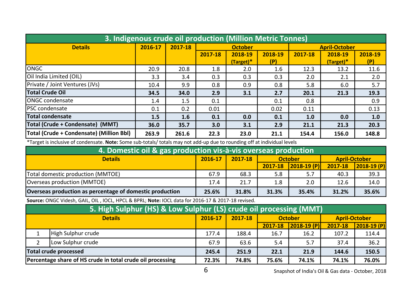| 3. Indigenous crude oil production (Million Metric Tonnes) |         |         |         |                        |                |         |                      |                |  |  |  |  |
|------------------------------------------------------------|---------|---------|---------|------------------------|----------------|---------|----------------------|----------------|--|--|--|--|
| <b>Details</b>                                             | 2016-17 | 2017-18 |         | <b>October</b>         |                |         | <b>April-October</b> |                |  |  |  |  |
|                                                            |         |         | 2017-18 | 2018-19<br>$(Target)*$ | 2018-19<br>(P) | 2017-18 | 2018-19<br>(Target)* | 2018-19<br>(P) |  |  |  |  |
| longc                                                      | 20.9    | 20.8    | 1.8     | 2.0                    | 1.6            | 12.3    | 13.2                 | 11.6           |  |  |  |  |
| Oil India Limited (OIL)                                    | 3.3     | 3.4     | 0.3     | 0.3                    | 0.3            | 2.0     | 2.1                  | 2.0            |  |  |  |  |
| Private / Joint Ventures (JVs)                             | 10.4    | 9.9     | 0.8     | 0.9                    | 0.8            | 5.8     | 6.0                  | 5.7            |  |  |  |  |
| <b>Total Crude Oil</b>                                     | 34.5    | 34.0    | 2.9     | 3.1                    | 2.7            | 20.1    | 21.3                 | 19.3           |  |  |  |  |
| <b>IONGC</b> condensate                                    | 1.4     | 1.5     | 0.1     |                        | 0.1            | 0.8     |                      | 0.9            |  |  |  |  |
| <b>IPSC</b> condensate                                     | 0.1     | 0.2     | 0.01    |                        | 0.02           | 0.11    |                      | 0.13           |  |  |  |  |
| Total condensate                                           | 1.5     | 1.6     | 0.1     | 0.0                    | 0.1            | 1.0     | 0.0                  | 1.0            |  |  |  |  |
| Total (Crude + Condensate) (MMT)                           | 36.0    | 35.7    | 3.0     | 3.1                    | 2.9            | 21.1    | 21.3                 | 20.3           |  |  |  |  |
| Total (Crude + Condensate) (Million Bbl)                   | 263.9   | 261.6   | 22.3    | 23.0                   | 21.1           | 154.4   | 156.0                | 148.8          |  |  |  |  |

\*Target is inclusive of condensate. Note: Some sub-totals/ totals may not add-up due to rounding off at individual levels

| 4. Domestic oil & gas production vis-à-vis overseas production                                                 |      |      |         |                  |         |                |  |  |  |  |  |  |
|----------------------------------------------------------------------------------------------------------------|------|------|---------|------------------|---------|----------------|--|--|--|--|--|--|
| 2017-18<br>2016-17<br><b>April-October</b><br><b>Details</b><br><b>October</b>                                 |      |      |         |                  |         |                |  |  |  |  |  |  |
|                                                                                                                |      |      | 2017-18 | $ 2018 - 19(P) $ | 2017-18 | $ 2018-19(P) $ |  |  |  |  |  |  |
| Total domestic production (MMTOE)                                                                              | 67.9 | 68.3 | 5.8     | -5.7             | 40.3    | 39.3           |  |  |  |  |  |  |
| Overseas production (MMTOE)                                                                                    | 17.4 | 21.7 | 1.8     | 2.0              | 12.6    | 14.0           |  |  |  |  |  |  |
| Overseas production as percentage of domestic production<br>35.6%<br>31.8%<br>35.4%<br>31.3%<br>31.2%<br>25.6% |      |      |         |                  |         |                |  |  |  |  |  |  |

Source: ONGC Videsh, GAIL, OIL , IOCL, HPCL & BPRL; Note: IOCL data for 2016-17 & 2017-18 revised.

| 5. High Sulphur (HS) & Low Sulphur (LS) crude oil processing (MMT) |         |         |         |                |                      |                |  |  |  |  |  |  |
|--------------------------------------------------------------------|---------|---------|---------|----------------|----------------------|----------------|--|--|--|--|--|--|
| <b>Details</b>                                                     | 2016-17 | 2017-18 |         | <b>October</b> | <b>April-October</b> |                |  |  |  |  |  |  |
|                                                                    |         |         | 2017-18 | $ 2018-19(P) $ | 2017-18              | $ 2018-19(P) $ |  |  |  |  |  |  |
| High Sulphur crude                                                 | 177.4   | 188.4   | 16.7    | 16.2           | 107.2                | 114.4          |  |  |  |  |  |  |
| Low Sulphur crude                                                  | 67.9    | 63.6    | 5.4     | 5.7            | 37.4                 | 36.2           |  |  |  |  |  |  |
| Total crude processed                                              | 245.4   | 251.9   | 22.1    | 21.9           | 144.6                | 150.5          |  |  |  |  |  |  |
| Percentage share of HS crude in total crude oil processing         | 72.3%   | 74.8%   | 75.6%   | 74.1%          | 74.1%                | 76.0%          |  |  |  |  |  |  |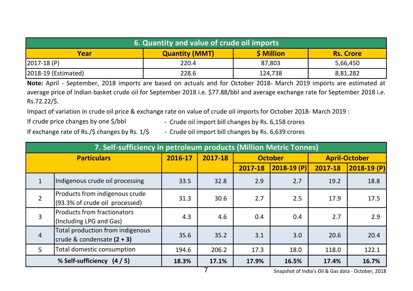| 6. Quantity and value of crude oil imports |                       |            |                  |  |  |  |  |  |  |  |
|--------------------------------------------|-----------------------|------------|------------------|--|--|--|--|--|--|--|
| Year                                       | <b>Quantity (MMT)</b> | \$ Million | <b>Rs. Crore</b> |  |  |  |  |  |  |  |
| 2017-18 (P)                                | 220.4                 | 87.803     | 5,66,450         |  |  |  |  |  |  |  |
| [2018-19 (Estimated)                       | 228.6                 | 124,738    | 8,81,282         |  |  |  |  |  |  |  |

Note: April - September, 2018 imports are based on actuals and for October 2018- March 2019 imports are estimated at average price of Indian basket crude oil for September 2018 i.e. \$77.88/bbl and average exchange rate for September 2018 i.e. Rs.72.22/\$.

Impact of variation in crude oil price & exchange rate on value of crude oil imports for October 2018- March 2019 :

If crude price changes by one \$/bbl

- Crude oil import bill changes by Rs. 6,158 crores

If exchange rate of Rs./\$ changes by Rs. 1/\$ - Crude oil import bill changes by Rs. 6,639 crores

|                | 7. Self-sufficiency in petroleum products (Million Metric Tonnes) |         |            |         |                |         |                      |  |  |  |  |  |
|----------------|-------------------------------------------------------------------|---------|------------|---------|----------------|---------|----------------------|--|--|--|--|--|
|                | <b>Particulars</b>                                                | 2016-17 | 2017-18    |         | <b>October</b> |         | <b>April-October</b> |  |  |  |  |  |
|                |                                                                   |         |            | 2017-18 | $2018-19(P)$   | 2017-18 | $2018-19(P)$         |  |  |  |  |  |
| $\mathbf{1}$   | Indigenous crude oil processing                                   | 33.5    | 32.8       | 2.9     | 2.7            | 19.2    | 18.8                 |  |  |  |  |  |
| $\overline{2}$ | Products from indigenous crude<br>(93.3% of crude oil processed)  | 31.3    | 30.6       | 2.7     | 2.5            | 17.9    | 17.5                 |  |  |  |  |  |
| 3              | Products from fractionators<br>(Including LPG and Gas)            | 4.3     | 4.6        | 0.4     | 0.4            | 2.7     | 2.9                  |  |  |  |  |  |
| $\overline{4}$ | Total production from indigenous<br>crude & condensate $(2 + 3)$  | 35.6    | 35.2       | 3.1     | 3.0            | 20.6    | 20.4                 |  |  |  |  |  |
| 5              | Total domestic consumption                                        | 194.6   | 206.2      | 17.3    | 18.0           | 118.0   | 122.1                |  |  |  |  |  |
|                | % Self-sufficiency (4/5)                                          | 18.3%   | 17.1%<br>⇁ | 17.9%   | 16.5%          | 17.4%   | 16.7%                |  |  |  |  |  |

7 Snapshot of India's Oil & Gas data - October, 2018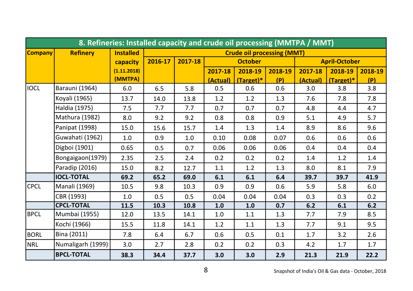|                |                                                                          | 8. Refineries: Installed capacity and crude oil processing (MMTPA / MMT) |         |         |          |                |         |          |                      |         |  |
|----------------|--------------------------------------------------------------------------|--------------------------------------------------------------------------|---------|---------|----------|----------------|---------|----------|----------------------|---------|--|
| <b>Company</b> | <b>Installed</b><br><b>Refinery</b><br><b>Crude oil processing (MMT)</b> |                                                                          |         |         |          |                |         |          |                      |         |  |
|                |                                                                          | capacity                                                                 | 2016-17 | 2017-18 |          | <b>October</b> |         |          | <b>April-October</b> |         |  |
|                |                                                                          | (1.11.2018)                                                              |         |         | 2017-18  | 2018-19        | 2018-19 | 2017-18  | 2018-19              | 2018-19 |  |
|                |                                                                          | (MMTPA)                                                                  |         |         | (Actual) | (Target)*      | (P)     | (Actual) | (Target)*            | (P)     |  |
| <b>IOCL</b>    | Barauni (1964)                                                           | 6.0                                                                      | 6.5     | 5.8     | 0.5      | 0.6            | 0.6     | 3.0      | 3.8                  | 3.8     |  |
|                | Koyali (1965)                                                            | 13.7                                                                     | 14.0    | 13.8    | 1.2      | 1.2            | 1.3     | 7.6      | 7.8                  | 7.8     |  |
|                | Haldia (1975)                                                            | 7.5                                                                      | 7.7     | 7.7     | 0.7      | 0.7            | 0.7     | 4.8      | 4.4                  | 4.7     |  |
|                | Mathura (1982)                                                           | 8.0                                                                      | 9.2     | 9.2     | 0.8      | 0.8            | 0.9     | 5.1      | 4.9                  | 5.7     |  |
|                | Panipat (1998)                                                           | 15.0                                                                     | 15.6    | 15.7    | 1.4      | 1.3            | 1.4     | 8.9      | 8.6                  | 9.6     |  |
|                | Guwahati (1962)                                                          | 1.0                                                                      | 0.9     | 1.0     | 0.10     | 0.08           | 0.07    | 0.6      | 0.6                  | 0.6     |  |
|                | Digboi (1901)                                                            | 0.65                                                                     | 0.5     | 0.7     | 0.06     | 0.06           | 0.06    | 0.4      | 0.4                  | 0.4     |  |
|                | Bongaigaon(1979)                                                         | 2.35                                                                     | 2.5     | 2.4     | 0.2      | 0.2            | 0.2     | 1.4      | 1.2                  | 1.4     |  |
|                | Paradip (2016)                                                           | 15.0                                                                     | 8.2     | 12.7    | 1.1      | 1.2            | 1.3     | 8.0      | 8.1                  | 7.9     |  |
|                | <b>IOCL-TOTAL</b>                                                        | 69.2                                                                     | 65.2    | 69.0    | 6.1      | 6.1            | 6.4     | 39.7     | 39.7                 | 41.9    |  |
| <b>CPCL</b>    | Manali (1969)                                                            | 10.5                                                                     | 9.8     | 10.3    | 0.9      | 0.9            | 0.6     | 5.9      | 5.8                  | 6.0     |  |
|                | CBR (1993)                                                               | 1.0                                                                      | 0.5     | 0.5     | 0.04     | 0.04           | 0.04    | 0.3      | 0.3                  | 0.2     |  |
|                | <b>CPCL-TOTAL</b>                                                        | 11.5                                                                     | 10.3    | 10.8    | 1.0      | 1.0            | 0.7     | 6.2      | 6.1                  | 6.2     |  |
| <b>BPCL</b>    | Mumbai (1955)                                                            | 12.0                                                                     | 13.5    | 14.1    | 1.0      | 1.1            | 1.3     | 7.7      | 7.9                  | 8.5     |  |
|                | Kochi (1966)                                                             | 15.5                                                                     | 11.8    | 14.1    | 1.2      | 1.1            | 1.3     | 7.7      | 9.1                  | 9.5     |  |
| <b>BORL</b>    | Bina (2011)                                                              | 7.8                                                                      | 6.4     | 6.7     | 0.6      | 0.5            | 0.1     | 1.7      | 3.2                  | 2.6     |  |
| <b>NRL</b>     | Numaligarh (1999)                                                        | 3.0                                                                      | 2.7     | 2.8     | 0.2      | 0.2            | 0.3     | 4.2      | 1.7                  | 1.7     |  |
|                | <b>BPCL-TOTAL</b>                                                        | 38.3                                                                     | 34.4    | 37.7    | 3.0      | 3.0            | 2.9     | 21.3     | 21.9                 | 22.2    |  |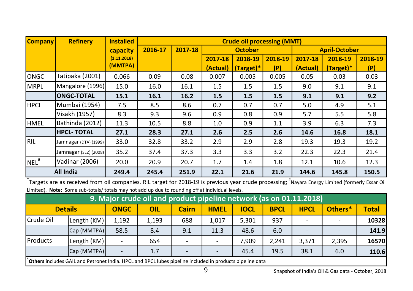| <b>Company</b>   | <b>Refinery</b>       | <b>Installed</b> | <b>Crude oil processing (MMT)</b> |         |                                        |           |         |          |             |         |
|------------------|-----------------------|------------------|-----------------------------------|---------|----------------------------------------|-----------|---------|----------|-------------|---------|
|                  |                       | capacity         | 2016-17                           | 2017-18 | <b>October</b><br><b>April-October</b> |           |         |          |             |         |
|                  |                       | (1.11.2018)      |                                   |         | 2017-18                                | 2018-19   | 2018-19 | 2017-18  | 2018-19     | 2018-19 |
|                  |                       | (MMTPA)          |                                   |         | (Actual)                               | (Target)* | (P)     | (Actual) | $(Target)*$ | (P)     |
| <b>ONGC</b>      | Tatipaka (2001)       | 0.066            | 0.09                              | 0.08    | 0.007                                  | 0.005     | 0.005   | 0.05     | 0.03        | 0.03    |
| <b>MRPL</b>      | Mangalore (1996)      | 15.0             | 16.0                              | 16.1    | 1.5                                    | 1.5       | 1.5     | 9.0      | 9.1         | 9.1     |
|                  | <b>ONGC-TOTAL</b>     | 15.1             | 16.1                              | 16.2    | 1.5                                    | 1.5       | 1.5     | 9.1      | 9.1         | 9.2     |
| <b>HPCL</b>      | Mumbai (1954)         | 7.5              | 8.5                               | 8.6     | 0.7                                    | 0.7       | 0.7     | 5.0      | 4.9         | 5.1     |
|                  | Visakh (1957)         | 8.3              | 9.3                               | 9.6     | 0.9                                    | 0.8       | 0.9     | 5.7      | 5.5         | 5.8     |
| <b>HMEL</b>      | Bathinda (2012)       | 11.3             | 10.5                              | 8.8     | 1.0                                    | 0.9       | 1.1     | 3.9      | 6.3         | 7.3     |
|                  | <b>HPCL-TOTAL</b>     | 27.1             | 28.3                              | 27.1    | 2.6                                    | 2.5       | 2.6     | 14.6     | 16.8        | 18.1    |
| RIL              | Jamnagar (DTA) (1999) | 33.0             | 32.8                              | 33.2    | 2.9                                    | 2.9       | 2.8     | 19.3     | 19.3        | 19.2    |
|                  | Jamnagar (SEZ) (2008) | 35.2             | 37.4                              | 37.3    | 3.3                                    | 3.3       | 3.2     | 22.3     | 22.3        | 21.4    |
| NEL <sup>#</sup> | Vadinar (2006)        | 20.0             | 20.9                              | 20.7    | 1.7                                    | 1.4       | 1.8     | 12.1     | 10.6        | 12.3    |
|                  | <b>All India</b>      | 249.4            | 245.4                             | 251.9   | 22.1                                   | 21.6      | 21.9    | 144.6    | 145.8       | 150.5   |

\*Targets are as received from oil companies. RIL target for 2018-19 is previous year crude processing; <sup>#</sup>Nayara Energy Limited (formerly Essar Oil Limited). Note: Some sub-totals/ totals may not add up due to rounding off at individual levels.

|                                                                                                                             | 9. Major crude oil and product pipeline network (as on 01.11.2018)                                              |       |       |                          |       |       |       |                          |       |              |  |  |
|-----------------------------------------------------------------------------------------------------------------------------|-----------------------------------------------------------------------------------------------------------------|-------|-------|--------------------------|-------|-------|-------|--------------------------|-------|--------------|--|--|
| Others*<br><b>HPCL</b><br><b>ONGC</b><br><b>HMEL</b><br><b>BPCL</b><br><b>Details</b><br><b>IOCL</b><br>OIL<br><b>Cairn</b> |                                                                                                                 |       |       |                          |       |       |       |                          |       | <b>Total</b> |  |  |
| Crude Oil                                                                                                                   | Length (KM)                                                                                                     | 1,192 | 1,193 | 688                      | 1.017 | 5,301 | 937   | $\overline{\phantom{a}}$ |       | 10328        |  |  |
|                                                                                                                             | Cap (MMTPA)                                                                                                     | 58.5  | 8.4   | 9.1                      | 11.3  | 48.6  | 6.0   | $\overline{\phantom{a}}$ |       | 141.9        |  |  |
| Products                                                                                                                    | Length (KM)                                                                                                     |       | 654   | $\overline{\phantom{a}}$ |       | 7,909 | 2,241 | 3,371                    | 2,395 | 16570        |  |  |
|                                                                                                                             | Cap (MMTPA)<br>38.1<br>110.6<br>19.5<br>45.4<br>1.7<br>6.0<br>$\overline{\phantom{0}}$                          |       |       |                          |       |       |       |                          |       |              |  |  |
|                                                                                                                             | <b>Others</b> includes GAIL and Petronet India. HPCL and BPCL lubes pipeline included in products pipeline data |       |       |                          |       |       |       |                          |       |              |  |  |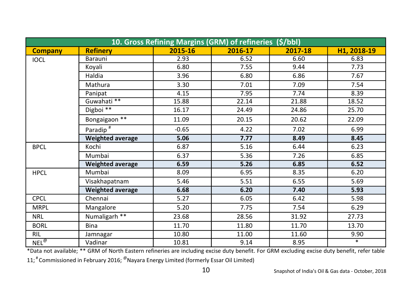|                |                         |         | 10. Gross Refining Margins (GRM) of refineries (\$/bbl) |         |             |
|----------------|-------------------------|---------|---------------------------------------------------------|---------|-------------|
| <b>Company</b> | <b>Refinery</b>         | 2015-16 | 2016-17                                                 | 2017-18 | H1, 2018-19 |
| <b>IOCL</b>    | Barauni                 | 2.93    | 6.52                                                    | 6.60    | 6.83        |
|                | Koyali                  | 6.80    | 7.55                                                    | 9.44    | 7.73        |
|                | Haldia                  | 3.96    | 6.80                                                    | 6.86    | 7.67        |
|                | Mathura                 | 3.30    | 7.01                                                    | 7.09    | 7.54        |
|                | Panipat                 | 4.15    | 7.95                                                    | 7.74    | 8.39        |
|                | Guwahati <sup>**</sup>  | 15.88   | 22.14                                                   | 21.88   | 18.52       |
|                | Digboi $**$             | 16.17   | 24.49                                                   | 24.86   | 25.70       |
|                | Bongaigaon **           | 11.09   | 20.15                                                   | 20.62   | 22.09       |
|                | Paradip <sup>#</sup>    | $-0.65$ | 4.22                                                    | 7.02    | 6.99        |
|                | <b>Weighted average</b> | 5.06    | 7.77                                                    | 8.49    | 8.45        |
| <b>BPCL</b>    | Kochi                   | 6.87    | 5.16                                                    | 6.44    | 6.23        |
|                | Mumbai                  | 6.37    | 5.36                                                    | 7.26    | 6.85        |
|                | <b>Weighted average</b> | 6.59    | 5.26                                                    | 6.85    | 6.52        |
| <b>HPCL</b>    | Mumbai                  | 8.09    | 6.95                                                    | 8.35    | 6.20        |
|                | Visakhapatnam           | 5.46    | 5.51                                                    | 6.55    | 5.69        |
|                | <b>Weighted average</b> | 6.68    | 6.20                                                    | 7.40    | 5.93        |
| <b>CPCL</b>    | Chennai                 | 5.27    | 6.05                                                    | 6.42    | 5.98        |
| <b>MRPL</b>    | Mangalore               | 5.20    | 7.75                                                    | 7.54    | 6.29        |
| <b>NRL</b>     | Numaligarh **           | 23.68   | 28.56                                                   | 31.92   | 27.73       |
| <b>BORL</b>    | <b>Bina</b>             | 11.70   | 11.80                                                   | 11.70   | 13.70       |
| RIL            | Jamnagar                | 10.80   | 11.00                                                   | 11.60   | 9.90        |
| $NEL^@$        | Vadinar                 | 10.81   | 9.14                                                    | 8.95    | $\ast$      |

\*Data not available; \*\* GRM of North Eastern refineries are including excise duty benefit. For GRM excluding excise duty benefit, refer table

11;<sup>#</sup> Commissioned in February 2016;  $^{\textcircled{\tiny{\textsf{P}}}}$ Nayara Energy Limited (formerly Essar Oil Limited)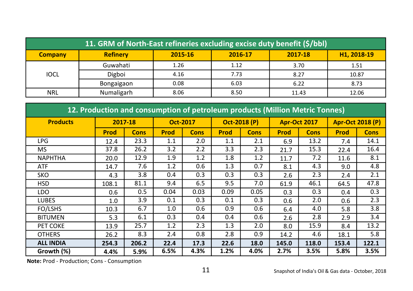| 11. GRM of North-East refineries excluding excise duty benefit (\$/bbl) |                 |         |         |         |             |  |  |  |  |
|-------------------------------------------------------------------------|-----------------|---------|---------|---------|-------------|--|--|--|--|
| <b>Company</b>                                                          | <b>Refinery</b> | 2015-16 | 2016-17 | 2017-18 | H1, 2018-19 |  |  |  |  |
|                                                                         | Guwahati        | 1.26    | 1.12    | 3.70    | 1.51        |  |  |  |  |
| <b>IOCL</b>                                                             | Digboi          | 4.16    | 7.73    | 8.27    | 10.87       |  |  |  |  |
|                                                                         | Bongaigaon      | 0.08    | 6.03    | 6.22    | 8.73        |  |  |  |  |
| <b>NRL</b>                                                              | Numaligarh      | 8.06    | 8.50    | 11.43   | 12.06       |  |  |  |  |

| 12. Production and consumption of petroleum products (Million Metric Tonnes) |             |             |                 |             |              |             |             |                     |             |                         |  |  |
|------------------------------------------------------------------------------|-------------|-------------|-----------------|-------------|--------------|-------------|-------------|---------------------|-------------|-------------------------|--|--|
| <b>Products</b>                                                              | 2017-18     |             | <b>Oct-2017</b> |             | Oct-2018 (P) |             |             | <b>Apr-Oct 2017</b> |             | <b>Apr-Oct 2018 (P)</b> |  |  |
|                                                                              | <b>Prod</b> | <b>Cons</b> | <b>Prod</b>     | <b>Cons</b> | <b>Prod</b>  | <b>Cons</b> | <b>Prod</b> | <b>Cons</b>         | <b>Prod</b> | <b>Cons</b>             |  |  |
| <b>LPG</b>                                                                   | 12.4        | 23.3        | 1.1             | 2.0         | 1.1          | 2.1         | 6.9         | 13.2                | 7.4         | 14.1                    |  |  |
| <b>MS</b>                                                                    | 37.8        | 26.2        | 3.2             | 2.2         | 3.3          | 2.3         | 21.7        | 15.3                | 22.4        | 16.4                    |  |  |
| <b>NAPHTHA</b>                                                               | 20.0        | 12.9        | 1.9             | 1.2         | 1.8          | 1.2         | 11.7        | 7.2                 | 11.6        | 8.1                     |  |  |
| ATF                                                                          | 14.7        | 7.6         | 1.2             | 0.6         | 1.3          | 0.7         | 8.1         | 4.3                 | 9.0         | 4.8                     |  |  |
| <b>SKO</b>                                                                   | 4.3         | 3.8         | 0.4             | 0.3         | 0.3          | 0.3         | 2.6         | 2.3                 | 2.4         | 2.1                     |  |  |
| <b>HSD</b>                                                                   | 108.1       | 81.1        | 9.4             | 6.5         | 9.5          | 7.0         | 61.9        | 46.1                | 64.5        | 47.8                    |  |  |
| LDO                                                                          | 0.6         | 0.5         | 0.04            | 0.03        | 0.09         | 0.05        | 0.3         | 0.3                 | 0.4         | 0.3                     |  |  |
| <b>LUBES</b>                                                                 | 1.0         | 3.9         | 0.1             | 0.3         | 0.1          | 0.3         | 0.6         | 2.0                 | 0.6         | 2.3                     |  |  |
| FO/LSHS                                                                      | 10.3        | 6.7         | 1.0             | 0.6         | 0.9          | 0.6         | 6.4         | 4.0                 | 5.8         | 3.8                     |  |  |
| <b>BITUMEN</b>                                                               | 5.3         | 6.1         | 0.3             | 0.4         | 0.4          | 0.6         | 2.6         | 2.8                 | 2.9         | 3.4                     |  |  |
| PET COKE                                                                     | 13.9        | 25.7        | 1.2             | 2.3         | 1.3          | 2.0         | 8.0         | 15.9                | 8.4         | 13.2                    |  |  |
| <b>OTHERS</b>                                                                | 26.2        | 8.3         | 2.4             | 0.8         | 2.8          | 0.9         | 14.2        | 4.6                 | 18.1        | 5.8                     |  |  |
| <b>ALL INDIA</b>                                                             | 254.3       | 206.2       | 22.4            | 17.3        | 22.6         | 18.0        | 145.0       | 118.0               | 153.4       | 122.1                   |  |  |
| Growth (%)                                                                   | 4.4%        | 5.9%        | 6.5%            | 4.3%        | 1.2%         | 4.0%        | 2.7%        | 3.5%                | 5.8%        | 3.5%                    |  |  |

Note: Prod - Production; Cons - Consumption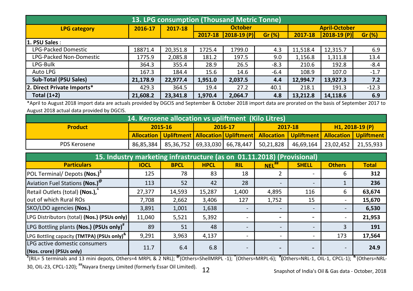| 13. LPG consumption (Thousand Metric Tonne) |          |          |         |                |        |                      |                |         |  |  |
|---------------------------------------------|----------|----------|---------|----------------|--------|----------------------|----------------|---------|--|--|
| <b>LPG category</b>                         | 2016-17  | 2017-18  |         | <b>October</b> |        | <b>April-October</b> |                |         |  |  |
|                                             |          |          | 2017-18 | $2018-19$ (P)  | Gr (%) | 2017-18              | $ 2018-19(P) $ | Gr (%)  |  |  |
| 1. PSU Sales :                              |          |          |         |                |        |                      |                |         |  |  |
| <b>LPG-Packed Domestic</b>                  | 18871.4  | 20,351.8 | 1725.4  | 1799.0         | 4.3    | 11,518.4             | 12,315.7       | 6.9     |  |  |
| LPG-Packed Non-Domestic                     | 1775.9   | 2,085.8  | 181.2   | 197.5          | 9.0    | 1,156.8              | 1,311.8        | 13.4    |  |  |
| LPG-Bulk                                    | 364.3    | 355.4    | 28.9    | 26.5           | $-8.3$ | 210.6                | 192.8          | $-8.4$  |  |  |
| Auto LPG                                    | 167.3    | 184.4    | 15.6    | 14.6           | $-6.4$ | 108.9                | 107.0          | $-1.7$  |  |  |
| <b>Sub-Total (PSU Sales)</b>                | 21.178.9 | 22.977.4 | 1,951.0 | 2,037.5        | 4.4    | 12,994.7             | 13,927.3       | 7.2     |  |  |
| 2. Direct Private Imports*                  | 429.3    | 364.5    | 19.4    | 27.2           | 40.1   | 218.1                | 191.3          | $-12.3$ |  |  |
| Total $(1+2)$                               | 21,608.2 | 23,341.8 | 1,970.4 | 2,064.7        | 4.8    | 13.212.8             | 14.118.6       | 6.9     |  |  |

\*April to August 2018 import data are actuals provided by DGCIS and September & October 2018 import data are prorated on the basis of September 2017 to August 2018 actual data provided by DGCIS.

| 14. Kerosene allocation vs upliftment (Kilo Litres) <sup> </sup> |                               |  |  |  |  |                                                                                                                |  |                 |  |
|------------------------------------------------------------------|-------------------------------|--|--|--|--|----------------------------------------------------------------------------------------------------------------|--|-----------------|--|
| <b>Product</b>                                                   | 2017-18<br>2015-16<br>2016-17 |  |  |  |  |                                                                                                                |  | $H1.2018-19(P)$ |  |
|                                                                  |                               |  |  |  |  | <b>Allocation   Upliftment   Allocation   Upliftment   Allocation   Upliftment   Allocation   Upliftment  </b> |  |                 |  |
| PDS Kerosene                                                     |                               |  |  |  |  | 86,85,384   85,36,752   69,33,030   66,78,447   50,21,828   46,69,164   23,02,452   21,55,933                  |  |                 |  |

| 15. Industry marketing infrastructure (as on 01.11.2018) (Provisional) |             |             |             |                          |                          |                          |               |              |  |  |  |  |
|------------------------------------------------------------------------|-------------|-------------|-------------|--------------------------|--------------------------|--------------------------|---------------|--------------|--|--|--|--|
| <b>Particulars</b>                                                     | <b>IOCL</b> | <b>BPCL</b> | <b>HPCL</b> | <b>RIL</b>               | $NEL$ <sup>##</sup>      | <b>SHELL</b>             | <b>Others</b> | <b>Total</b> |  |  |  |  |
| POL Terminal/ Depots (Nos.) <sup>5</sup>                               | 125         | 78          | 83          | 18                       |                          |                          | 6             | 312          |  |  |  |  |
| Aviation Fuel Stations (Nos.) <sup>@</sup>                             | 113         | 52          | 42          | 28                       |                          |                          |               | 236          |  |  |  |  |
| Retail Outlets (total) (Nos.),                                         | 27,377      | 14,593      | 15,287      | 1,400                    | 4,895                    | 116                      | 6             | 63,674       |  |  |  |  |
| out of which Rural ROs                                                 | 7,708       | 2,662       | 3,406       | 127                      | 1,752                    | 15                       | ۰             | 15,670       |  |  |  |  |
| SKO/LDO agencies (Nos.)                                                | 3,891       | 1,001       | 1,638       |                          |                          | $\overline{\phantom{0}}$ |               | 6,530        |  |  |  |  |
| [LPG Distributors (total) (Nos.) (PSUs only)                           | 11,040      | 5,521       | 5,392       | $\overline{\phantom{a}}$ | $\overline{\phantom{0}}$ | $\overline{\phantom{0}}$ | ۰             | 21,953       |  |  |  |  |
| LPG Bottling plants (Nos.) (PSUs only) <sup>#</sup>                    | 89          | 51          | 48          |                          |                          |                          | 3             | 191          |  |  |  |  |
| LPG Bottling capacity (TMTPA) (PSUs only) <sup>&amp;</sup>             | 9,291       | 3,963       | 4,137       | $\sim$                   |                          |                          | 173           | 17,564       |  |  |  |  |
| LPG active domestic consumers<br>(Nos. crore) (PSUs only)              | 11.7        | 6.4         | 6.8         |                          |                          |                          |               | 24.9         |  |  |  |  |

 $\rm ^{5}$ (RIL= 5 terminals and 13 mini depots, Others=4 MRPL & 2 NRL);  $^{\circ\circ}$ (Others=ShellMRPL -1);  $^{\circ}$ (Others=MRPL-6);  $^{\circ\circ}$ (Others=NRL-1, OIL-1, CPCL-1);  $^{\circ\circ}$ (Others=NRL-30, OIL-23, CPCL-120); ##Nayara Energy Limited (formerly Essar Oil Limited).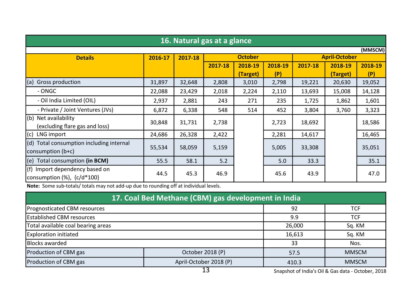|                                             | 16. Natural gas at a glance |         |                                        |          |         |         |          |         |  |  |  |  |
|---------------------------------------------|-----------------------------|---------|----------------------------------------|----------|---------|---------|----------|---------|--|--|--|--|
|                                             |                             |         |                                        |          |         |         |          | (MMSCM) |  |  |  |  |
| <b>Details</b>                              | 2016-17                     | 2017-18 | <b>October</b><br><b>April-October</b> |          |         |         |          |         |  |  |  |  |
|                                             |                             |         | 2017-18                                | 2018-19  | 2018-19 | 2017-18 | 2018-19  | 2018-19 |  |  |  |  |
|                                             |                             |         |                                        | (Target) | (P)     |         | (Target) | (P)     |  |  |  |  |
| (a)<br>Gross production                     | 31,897                      | 32,648  | 2,808                                  | 3,010    | 2,798   | 19,221  | 20,630   | 19,052  |  |  |  |  |
| - ONGC                                      | 22,088                      | 23,429  | 2,018                                  | 2,224    | 2,110   | 13,693  | 15,008   | 14,128  |  |  |  |  |
| - Oil India Limited (OIL)                   | 2,937                       | 2,881   | 243                                    | 271      | 235     | 1,725   | 1,862    | 1,601   |  |  |  |  |
| - Private / Joint Ventures (JVs)            | 6,872                       | 6,338   | 548                                    | 514      | 452     | 3,804   | 3,760    | 3,323   |  |  |  |  |
| (b) Net availability                        | 30,848                      | 31,731  |                                        |          | 2,723   | 18,692  |          |         |  |  |  |  |
| (excluding flare gas and loss)              |                             |         | 2,738                                  |          |         |         |          | 18,586  |  |  |  |  |
| (c) LNG import                              | 24,686                      | 26,328  | 2,422                                  |          | 2,281   | 14,617  |          | 16,465  |  |  |  |  |
| (d) Total consumption including internal    |                             |         |                                        |          |         |         |          |         |  |  |  |  |
| $\mathsf{consumm}(\mathsf{b}+\mathsf{c})$   | 55,534                      | 58,059  | 5,159                                  |          | 5,005   | 33,308  |          | 35,051  |  |  |  |  |
| (e) Total consumption (in BCM)              | 55.5                        | 58.1    | 5.2                                    |          | 5.0     | 33.3    |          | 35.1    |  |  |  |  |
| (f) Import dependency based on              | 44.5                        | 45.3    | 46.9                                   |          | 45.6    | 43.9    |          | 47.0    |  |  |  |  |
| $\alpha$ consumption $(\%)$ , $\{c/d*100\}$ |                             |         |                                        |          |         |         |          |         |  |  |  |  |

Note: Some sub-totals/ totals may not add-up due to rounding off at individual levels.

| 17. Coal Bed Methane (CBM) gas development in India                      |                  |            |              |  |  |  |  |  |  |
|--------------------------------------------------------------------------|------------------|------------|--------------|--|--|--|--|--|--|
| Prognosticated CBM resources                                             | 92               | <b>TCF</b> |              |  |  |  |  |  |  |
| <b>Established CBM resources</b><br>9.9<br><b>TCF</b>                    |                  |            |              |  |  |  |  |  |  |
| Total available coal bearing areas                                       | 26,000           | Sq. KM     |              |  |  |  |  |  |  |
| <b>Exploration initiated</b>                                             |                  | 16,613     | Sq. KM       |  |  |  |  |  |  |
| <b>Blocks awarded</b>                                                    |                  | 33         | Nos.         |  |  |  |  |  |  |
| Production of CBM gas                                                    | October 2018 (P) | 57.5       | <b>MMSCM</b> |  |  |  |  |  |  |
| Production of CBM gas<br>April-October 2018 (P)<br><b>MMSCM</b><br>410.3 |                  |            |              |  |  |  |  |  |  |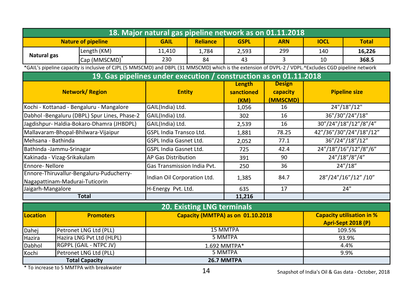|                                | 18. Major natural gas pipeline network as on 01.11.2018           |                                                                                                                                                       |                                |                                   |                                   |               |                 |                                  |  |  |  |
|--------------------------------|-------------------------------------------------------------------|-------------------------------------------------------------------------------------------------------------------------------------------------------|--------------------------------|-----------------------------------|-----------------------------------|---------------|-----------------|----------------------------------|--|--|--|
|                                |                                                                   | <b>Nature of pipeline</b>                                                                                                                             | <b>GAIL</b>                    | <b>Reliance</b>                   | <b>GSPL</b>                       | <b>ARN</b>    | <b>IOCL</b>     | <b>Total</b>                     |  |  |  |
|                                |                                                                   | Length (KM)                                                                                                                                           | 11,410                         | 1,784                             | 2,593                             | 299           | 140             | 16,226                           |  |  |  |
| Natural gas                    |                                                                   | Cap (MMSCMD) <sup>*</sup>                                                                                                                             | 230                            | 84                                | 43                                | 3             | 10              | 368.5                            |  |  |  |
|                                |                                                                   | *GAIL's pipeline capacity is inclusive of CJPL (5 MMSCMD) and DBPL (31 MMSCMD) which is the extension of DVPL-2 / VDPL.^Excludes CGD pipeline network |                                |                                   |                                   |               |                 |                                  |  |  |  |
|                                | 19. Gas pipelines under execution / construction as on 01.11.2018 |                                                                                                                                                       |                                |                                   |                                   |               |                 |                                  |  |  |  |
|                                |                                                                   |                                                                                                                                                       |                                |                                   | Length                            | <b>Design</b> |                 |                                  |  |  |  |
|                                | <b>Network/Region</b>                                             |                                                                                                                                                       | <b>Entity</b>                  |                                   | sanctioned                        | capacity      |                 | <b>Pipeline size</b>             |  |  |  |
|                                |                                                                   |                                                                                                                                                       |                                |                                   | (KM)                              | (MMSCMD)      |                 |                                  |  |  |  |
|                                |                                                                   | Kochi - Kottanad - Bengaluru - Mangalore                                                                                                              | GAIL(India) Ltd.               |                                   | 1,056                             | 16            |                 | 24"/18"/12"                      |  |  |  |
|                                |                                                                   | Dabhol -Bengaluru (DBPL) Spur Lines, Phase-2                                                                                                          | GAIL(India) Ltd.               |                                   | 302                               | 16            | 36"/30"/24"/18" |                                  |  |  |  |
|                                |                                                                   | Jagdishpur-Haldia-Bokaro-Dhamra (JHBDPL)                                                                                                              | GAIL(India) Ltd.               |                                   | 2,539                             | 16            |                 | 30"/24"/18"/12"/8"/4"            |  |  |  |
|                                |                                                                   | Mallavaram-Bhopal-Bhilwara-Vijaipur                                                                                                                   | <b>GSPL India Transco Ltd.</b> |                                   | 1,881                             | 78.25         |                 | 42"/36"/30"/24"/18"/12"          |  |  |  |
| Mehsana - Bathinda             |                                                                   |                                                                                                                                                       | <b>GSPL India Gasnet Ltd.</b>  |                                   | 2,052                             | 77.1          | 36"/24"/18"/12" |                                  |  |  |  |
| Bathinda -Jammu-Srinagar       |                                                                   |                                                                                                                                                       | <b>GSPL India Gasnet Ltd.</b>  |                                   | 725                               | 42.4          |                 | 24"/18"/16"/12"/8"/6"            |  |  |  |
| Kakinada - Vizag-Srikakulam    |                                                                   |                                                                                                                                                       | AP Gas Distribution            |                                   | 391                               | 90            |                 | 24"/18"/8"/4"                    |  |  |  |
| <b>Ennore-Nellore</b>          |                                                                   |                                                                                                                                                       | Gas Transmission India Pvt.    |                                   | 250                               | 36            |                 | 24''/18''                        |  |  |  |
|                                |                                                                   | Ennore-Thiruvallur-Bengaluru-Puducherry-                                                                                                              | Indian Oil Corporation Ltd.    |                                   | 1,385                             | 84.7          |                 | 28"/24"/16"/12" /10"             |  |  |  |
| Nagapattinam-Madurai-Tuticorin |                                                                   |                                                                                                                                                       |                                |                                   |                                   |               |                 |                                  |  |  |  |
| Jaigarh-Mangalore              |                                                                   |                                                                                                                                                       | H-Energy Pvt. Ltd.             |                                   | 635                               | 17            |                 | 24"                              |  |  |  |
|                                |                                                                   | <b>Total</b>                                                                                                                                          |                                |                                   | 11,216                            |               |                 |                                  |  |  |  |
|                                |                                                                   |                                                                                                                                                       |                                | <b>20. Existing LNG terminals</b> |                                   |               |                 |                                  |  |  |  |
| Location                       |                                                                   | <b>Promoters</b>                                                                                                                                      |                                |                                   | Capacity (MMTPA) as on 01.10.2018 |               |                 | <b>Capacity utilisation in %</b> |  |  |  |
|                                |                                                                   |                                                                                                                                                       |                                |                                   |                                   |               |                 | Apri-Sept 2018 (P)               |  |  |  |
| Dahej                          |                                                                   | Petronet LNG Ltd (PLL)                                                                                                                                |                                |                                   | <b>15 MMTPA</b>                   |               |                 | 109.5%                           |  |  |  |
| Hazira                         |                                                                   | Hazira LNG Pvt Ltd (HLPL)                                                                                                                             |                                |                                   | 5 MMTPA                           |               |                 | 93.9%                            |  |  |  |
| Dabhol                         |                                                                   | RGPPL (GAIL - NTPC JV)                                                                                                                                |                                |                                   | 1.692 MMTPA*                      |               | 4.4%            |                                  |  |  |  |
| Kochi                          |                                                                   | Petronet LNG Ltd (PLL)                                                                                                                                |                                |                                   | 5 MMTPA                           |               |                 | 9.9%                             |  |  |  |
|                                |                                                                   | <b>Total Capacity</b>                                                                                                                                 |                                |                                   | 26.7 MMTPA                        |               |                 |                                  |  |  |  |

\* To increase to 5 MMTPA with breakwater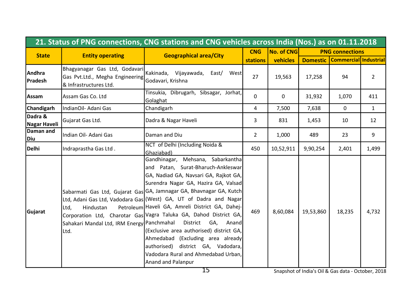|                          |                                                                                      | 21. Status of PNG connections, CNG stations and CNG vehicles across India (Nos.) as on 01.11.2018                                                                                                                                                                                                                                                                                                                                                                                                                                                                                                                         |                 |                   |           |                                    |                |
|--------------------------|--------------------------------------------------------------------------------------|---------------------------------------------------------------------------------------------------------------------------------------------------------------------------------------------------------------------------------------------------------------------------------------------------------------------------------------------------------------------------------------------------------------------------------------------------------------------------------------------------------------------------------------------------------------------------------------------------------------------------|-----------------|-------------------|-----------|------------------------------------|----------------|
| <b>State</b>             | <b>Entity operating</b>                                                              | <b>Geographical area/City</b>                                                                                                                                                                                                                                                                                                                                                                                                                                                                                                                                                                                             |                 | <b>No. of CNG</b> |           | <b>PNG connections</b>             |                |
|                          |                                                                                      |                                                                                                                                                                                                                                                                                                                                                                                                                                                                                                                                                                                                                           | <b>stations</b> | <b>vehicles</b>   |           | Domestic   Commercial   Industrial |                |
| Andhra<br><b>Pradesh</b> | Gas Pvt.Ltd., Megha Engineering Godavari, Krishna<br>& Infrastructures Ltd.          | Bhagyanagar Gas Ltd, Godavari Kakinada, Vijayawada, East/ West                                                                                                                                                                                                                                                                                                                                                                                                                                                                                                                                                            | 27              | 19,563            | 17,258    | 94                                 | $\overline{2}$ |
| Assam                    | Assam Gas Co. Ltd                                                                    | Tinsukia, Dibrugarh, Sibsagar, Jorhat,<br>Golaghat                                                                                                                                                                                                                                                                                                                                                                                                                                                                                                                                                                        | $\Omega$        | $\mathbf 0$       | 31,932    | 1,070                              | 411            |
| <b>Chandigarh</b>        | IndianOil- Adani Gas                                                                 | Chandigarh                                                                                                                                                                                                                                                                                                                                                                                                                                                                                                                                                                                                                | 4               | 7,500             | 7,638     | $\mathbf 0$                        | $\mathbf{1}$   |
| Dadra &<br>Nagar Haveli  | Gujarat Gas Ltd.                                                                     | Dadra & Nagar Haveli                                                                                                                                                                                                                                                                                                                                                                                                                                                                                                                                                                                                      | 3               | 831               | 1,453     | 10                                 | 12             |
| Daman and<br>Diu         | Indian Oil- Adani Gas                                                                | Daman and Diu                                                                                                                                                                                                                                                                                                                                                                                                                                                                                                                                                                                                             | $\overline{2}$  | 1,000             | 489       | 23                                 | 9              |
| <b>Delhi</b>             | Indraprastha Gas Ltd.                                                                | NCT of Delhi (Including Noida &<br>Ghaziabad)                                                                                                                                                                                                                                                                                                                                                                                                                                                                                                                                                                             | 450             | 10,52,911         | 9,90,254  | 2,401                              | 1,499          |
| Gujarat                  | Hindustan<br>Ltd.<br>Sahakari Mandal Ltd, IRM Energy Panchmahal District GA,<br>Ltd. | Gandhinagar, Mehsana, Sabarkantha<br>and Patan, Surat-Bharuch-Ankleswar<br>GA, Nadiad GA, Navsari GA, Rajkot GA,<br>Surendra Nagar GA, Hazira GA, Valsad<br>Sabarmati Gas Ltd, Gujarat Gas GA, Jamnagar GA, Bhavnagar GA, Kutch<br>Ltd, Adani Gas Ltd, Vadodara Gas (West) GA, UT of Dadra and Nagar<br>Petroleum Haveli GA, Amreli District GA, Dahej-<br>Corporation Ltd, Charotar Gas Vagra Taluka GA, Dahod District GA,<br>Anand<br>(Exclusive area authorised) district GA,<br>Ahmedabad (Excluding area already<br>authorised) district GA, Vadodara,<br>Vadodara Rural and Ahmedabad Urban.<br>Anand and Palanpur | 469             | 8,60,084          | 19,53,860 | 18,235                             | 4,732          |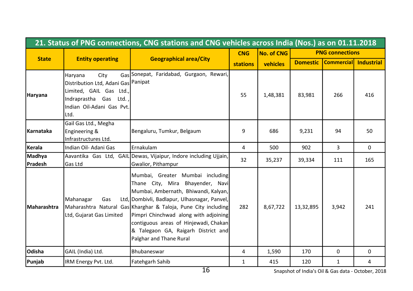|                   | 21. Status of PNG connections, CNG stations and CNG vehicles across India (Nos.) as on 01.11.2018                                                |                                                                                                                                                                                                                                                                                                                                                                                    |                |                   |                 |                        |                   |  |  |  |  |
|-------------------|--------------------------------------------------------------------------------------------------------------------------------------------------|------------------------------------------------------------------------------------------------------------------------------------------------------------------------------------------------------------------------------------------------------------------------------------------------------------------------------------------------------------------------------------|----------------|-------------------|-----------------|------------------------|-------------------|--|--|--|--|
|                   |                                                                                                                                                  |                                                                                                                                                                                                                                                                                                                                                                                    | <b>CNG</b>     | <b>No. of CNG</b> |                 | <b>PNG connections</b> |                   |  |  |  |  |
| <b>State</b>      | <b>Entity operating</b>                                                                                                                          | <b>Geographical area/City</b>                                                                                                                                                                                                                                                                                                                                                      | stations       | vehicles          | <b>Domestic</b> | <b>Commercial</b>      | <b>Industrial</b> |  |  |  |  |
| Haryana           | City<br>Haryana<br>Distribution Ltd, Adani Gas Panipat<br>Limited, GAIL Gas Ltd.,<br>Indraprastha Gas Ltd.,<br>Indian Oil-Adani Gas Pvt.<br>Ltd. | Gas Sonepat, Faridabad, Gurgaon, Rewari,                                                                                                                                                                                                                                                                                                                                           | 55             | 1,48,381          | 83,981          | 266                    | 416               |  |  |  |  |
| <b>Karnataka</b>  | Gail Gas Ltd., Megha<br>Engineering &<br>Infrastructures Ltd.                                                                                    | Bengaluru, Tumkur, Belgaum                                                                                                                                                                                                                                                                                                                                                         | 9              | 686               | 9,231           | 94                     | 50                |  |  |  |  |
| Kerala            | Indian Oil- Adani Gas                                                                                                                            | Ernakulam                                                                                                                                                                                                                                                                                                                                                                          | $\overline{4}$ | 500               | 902             | 3                      | $\Omega$          |  |  |  |  |
| Madhya<br>Pradesh | Gas Ltd                                                                                                                                          | Aavantika Gas Ltd, GAIL Dewas, Vijaipur, Indore including Ujjain,<br>Gwalior, Pithampur                                                                                                                                                                                                                                                                                            | 32             | 35,237            | 39,334          | 111                    | 165               |  |  |  |  |
| l Maharashtra     | Mahanagar<br>Gas<br>Ltd, Gujarat Gas Limited                                                                                                     | Mumbai, Greater Mumbai including<br>Thane City, Mira Bhayender, Navi<br>Mumbai, Ambernath, Bhiwandi, Kalyan,<br>Ltd, Dombivli, Badlapur, Ulhasnagar, Panvel,<br>Maharashtra Natural Gas Kharghar & Taloja, Pune City including<br>Pimpri Chinchwad along with adjoining<br>contiguous areas of Hinjewadi, Chakan<br>& Talegaon GA, Raigarh District and<br>Palghar and Thane Rural | 282            | 8,67,722          | 13,32,895       | 3,942                  | 241               |  |  |  |  |
| lOdisha           | GAIL (India) Ltd.                                                                                                                                | Bhubaneswar                                                                                                                                                                                                                                                                                                                                                                        | 4              | 1,590             | 170             | $\mathbf{0}$           | 0                 |  |  |  |  |
| Punjab            | IRM Energy Pvt. Ltd.                                                                                                                             | Fatehgarh Sahib                                                                                                                                                                                                                                                                                                                                                                    | 1              | 415               | 120             | 1                      | 4                 |  |  |  |  |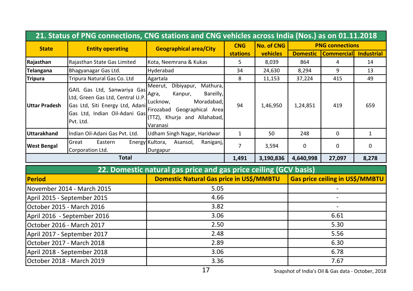|                           | 21. Status of PNG connections, CNG stations and CNG vehicles across India (Nos.) as on 01.11.2018                                                |                                                                                                                                                                   |                                        |                   |                 |                        |                   |
|---------------------------|--------------------------------------------------------------------------------------------------------------------------------------------------|-------------------------------------------------------------------------------------------------------------------------------------------------------------------|----------------------------------------|-------------------|-----------------|------------------------|-------------------|
| <b>State</b>              | <b>Entity operating</b>                                                                                                                          | <b>Geographical area/City</b>                                                                                                                                     | <b>CNG</b>                             | <b>No. of CNG</b> |                 | <b>PNG connections</b> |                   |
|                           |                                                                                                                                                  |                                                                                                                                                                   | <b>stations</b>                        | vehicles          | <b>Domestic</b> | <b>Commercial</b>      | <b>Industrial</b> |
| Rajasthan                 | Rajasthan State Gas Limited                                                                                                                      | Kota, Neemrana & Kukas                                                                                                                                            | 5                                      | 8,039             | 864             | 4                      | 14                |
| Telangana                 | Bhagyanagar Gas Ltd.                                                                                                                             | Hyderabad                                                                                                                                                         | 34                                     | 24,630            | 8,294           | 9                      | 13                |
| <b>Tripura</b>            | Tripura Natural Gas Co. Ltd                                                                                                                      | Agartala                                                                                                                                                          | 8                                      | 11,153            | 37,224          | 415                    | 49                |
| Uttar Pradesh             | GAIL Gas Ltd, Sanwariya Gas<br>Ltd, Green Gas Ltd, Central U.P.<br>Gas Ltd, Siti Energy Ltd, Adani<br>Gas Ltd, Indian Oil-Adani Gas<br>Pvt. Ltd. | Meerut, Dibiyapur, Mathura,<br>Bareilly,<br>Kanpur,<br>Agra,<br>Lucknow,<br>Moradabad.<br>Firozabad Geographical Area<br>(TTZ), Khurja and Allahabad,<br>Varanasi | 94                                     | 1,46,950          | 1,24,851        | 419                    | 659               |
| Uttarakhand               | Indian Oil-Adani Gas Pvt. Ltd.                                                                                                                   | Udham Singh Nagar, Haridwar                                                                                                                                       | $\mathbf{1}$                           | 50                | 248             | $\Omega$               | $\mathbf{1}$      |
| <b>West Bengal</b>        | Great<br>Eastern<br>Corporation Ltd.                                                                                                             | Energy Kultora, Asansol,<br>Raniganj,<br>Durgapur                                                                                                                 | $\overline{7}$                         | 3,594             | 0               | 0                      | $\Omega$          |
|                           | <b>Total</b>                                                                                                                                     |                                                                                                                                                                   | 1,491                                  | 3,190,836         | 4,640,998       | 27,097                 | 8,278             |
|                           |                                                                                                                                                  | 22. Domestic natural gas price and gas price ceiling (GCV basis)                                                                                                  |                                        |                   |                 |                        |                   |
| <b>Period</b>             |                                                                                                                                                  | Domestic Natural Gas price in US\$/MMBTU                                                                                                                          | <b>Gas price ceiling in US\$/MMBTU</b> |                   |                 |                        |                   |
|                           | November 2014 - March 2015                                                                                                                       | 5.05                                                                                                                                                              |                                        |                   |                 |                        |                   |
|                           | April 2015 - September 2015                                                                                                                      | 4.66                                                                                                                                                              |                                        |                   |                 |                        |                   |
| October 2015 - March 2016 |                                                                                                                                                  | 3.82                                                                                                                                                              |                                        |                   |                 |                        |                   |
|                           | April 2016 - September 2016                                                                                                                      | 3.06                                                                                                                                                              |                                        |                   |                 | 6.61                   |                   |
| October 2016 - March 2017 |                                                                                                                                                  | 2.50                                                                                                                                                              |                                        |                   | 5.30            |                        |                   |
|                           | April 2017 - September 2017                                                                                                                      | 2.48                                                                                                                                                              |                                        |                   | 5.56            |                        |                   |
| October 2017 - March 2018 |                                                                                                                                                  | 2.89                                                                                                                                                              |                                        |                   | 6.30            |                        |                   |
|                           | April 2018 - September 2018                                                                                                                      | 3.06                                                                                                                                                              |                                        |                   | 6.78            |                        |                   |
| October 2018 - March 2019 |                                                                                                                                                  | 3.36                                                                                                                                                              |                                        |                   |                 | 7.67                   |                   |

17 Snapshot of India's Oil & Gas data - October, 2018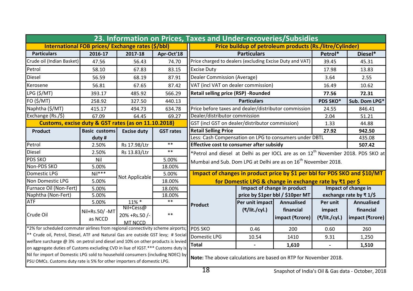| 23. Information on Prices, Taxes and Under-recoveries/Subsidies                                                                                                     |                      |                    |                  |                                                                                              |                                  |                 |               |                                                          |  |
|---------------------------------------------------------------------------------------------------------------------------------------------------------------------|----------------------|--------------------|------------------|----------------------------------------------------------------------------------------------|----------------------------------|-----------------|---------------|----------------------------------------------------------|--|
| International FOB prices/ Exchange rates (\$/bbl)                                                                                                                   |                      |                    |                  | <b>Price buildup of petroleum products (Rs./litre/Cylinder)</b>                              |                                  |                 |               |                                                          |  |
| <b>Particulars</b>                                                                                                                                                  | 2016-17              | 2017-18            | Apr-Oct'18       | <b>Particulars</b>                                                                           |                                  | Petrol*         | Diesel*       |                                                          |  |
| Crude oil (Indian Basket)                                                                                                                                           | 47.56                | 56.43              | 74.70            | Price charged to dealers (excluding Excise Duty and VAT)                                     |                                  |                 | 39.45         | 45.31                                                    |  |
| Petrol                                                                                                                                                              | 58.10                | 67.83              | 83.15            | <b>Excise Duty</b>                                                                           |                                  |                 | 17.98         | 13.83                                                    |  |
| Diesel                                                                                                                                                              | 56.59                | 68.19              | 87.91            | Dealer Commission (Average)                                                                  |                                  |                 | 3.64          | 2.55                                                     |  |
| Kerosene                                                                                                                                                            | 56.81                | 67.65              | 87.42            | VAT (incl VAT on dealer commission)                                                          |                                  |                 | 16.49         | 10.62                                                    |  |
| LPG (\$/MT)                                                                                                                                                         | 393.17               | 485.92             | 566.29           | <b>Retail selling price (RSP) - Rounded</b>                                                  |                                  |                 | 77.56         | 72.31                                                    |  |
| FO (\$/MT)                                                                                                                                                          | 258.92               | 327.50             | 440.13           |                                                                                              | <b>Particulars</b>               |                 | PDS SKO*      | Sub. Dom LPG*                                            |  |
| Naphtha (\$/MT)                                                                                                                                                     | 415.17               | 494.73             | 634.78           | Price before taxes and dealer/distributor commission                                         |                                  |                 | 24.55         | 846.41                                                   |  |
| Exchange (Rs./\$)                                                                                                                                                   | 67.09                | 64.45              | 69.27            | Dealer/distributor commission                                                                |                                  |                 | 2.04          | 51.21                                                    |  |
| Customs, excise duty & GST rates (as on 11.10.2018)                                                                                                                 |                      |                    |                  | GST (incl GST on dealer/distributor commission)                                              |                                  |                 | 1.33          | 44.88                                                    |  |
| Product                                                                                                                                                             | <b>Basic customs</b> | <b>Excise duty</b> | <b>GST rates</b> | <b>Retail Selling Price</b>                                                                  |                                  |                 | 27.92         | 942.50                                                   |  |
|                                                                                                                                                                     | duty#                |                    |                  | Less: Cash Compensation on LPG to consumers under DBTL                                       |                                  | 435.08          |               |                                                          |  |
| Petrol                                                                                                                                                              | 2.50%                | Rs 17.98/Ltr       | $* *$            | Effective cost to consumer after subsidy<br>507.42                                           |                                  |                 |               |                                                          |  |
| Diesel                                                                                                                                                              | 2.50%                | Rs 13.83/Ltr       | $***$            | *Petrol and diesel at Delhi as per IOCL are as on $12^{\text{th}}$ November 2018. PDS SKO at |                                  |                 |               |                                                          |  |
| <b>PDS SKO</b>                                                                                                                                                      | Nil                  |                    | 5.00%            | Mumbai and Sub. Dom LPG at Delhi are as on $16^{th}$ November 2018.                          |                                  |                 |               |                                                          |  |
| Non-PDS SKO                                                                                                                                                         | 5.00%                |                    | 18.00%           |                                                                                              |                                  |                 |               |                                                          |  |
| Domestic LPG                                                                                                                                                        | $Nil***$             | Not Applicable     | 5.00%            | Impact of changes in product price by \$1 per bbl for PDS SKO and \$10/MT                    |                                  |                 |               |                                                          |  |
| Non Domestic LPG                                                                                                                                                    | 5.00%                | 18.00%             |                  | for Domestic LPG & change in exchange rate by ₹1 per \$                                      |                                  |                 |               |                                                          |  |
| Furnace Oil (Non-Fert)                                                                                                                                              | 5.00%                |                    | 18.00%           | Impact of change in product                                                                  |                                  |                 |               | Impact of change in                                      |  |
| Naphtha (Non-Fert)                                                                                                                                                  | 5.00%                |                    | 18.00%           |                                                                                              | price by \$1per bbl / \$10per MT |                 |               | exchange rate by $\overline{\phantom{a}} 1/\overline{5}$ |  |
| <b>ATF</b>                                                                                                                                                          | 5.00%                | 11% *              | $***$            | Product                                                                                      | Per unit impact   Annualised     |                 | Per unit      | <b>Annualised</b>                                        |  |
| Crude Oil                                                                                                                                                           | Nil+Rs.50/-MT        | $Nil+Cess@$        | $***$            |                                                                                              | (₹/lit./cyl.)                    | financial       | impact        | financial                                                |  |
|                                                                                                                                                                     | as NCCD              | 20% +Rs.50 /-      |                  |                                                                                              |                                  | impact (₹crore) | (₹/lit./cyl.) | impact (₹crore)                                          |  |
|                                                                                                                                                                     |                      | MT NCCD            |                  | <b>PDS SKO</b>                                                                               | 0.46                             | 200             | 0.60          |                                                          |  |
| *2% for scheduled commuter airlines from regional connectivity scheme airports;<br>** Crude oil, Petrol, Diesel, ATF and Natural Gas are outside GST levy; # Social |                      |                    |                  |                                                                                              |                                  |                 | 260           |                                                          |  |
| welfare surcharge @ 3% on petrol and diesel and 10% on other products is levied                                                                                     |                      |                    | Domestic LPG     | 10.54                                                                                        | 1410                             | 9.31            | 1,250         |                                                          |  |
| on aggregate duties of Customs excluding CVD in liue of IGST.*** Customs duty is                                                                                    |                      |                    |                  | Total                                                                                        | $\blacksquare$                   | 1,610           |               | 1,510                                                    |  |
| Nil for import of Domestic LPG sold to household consumers (including NDEC) by<br>PSU OMCs. Customs duty rate is 5% for other importers of domestic LPG.            |                      |                    |                  | Note: The above calculations are based on RTP for November 2018.                             |                                  |                 |               |                                                          |  |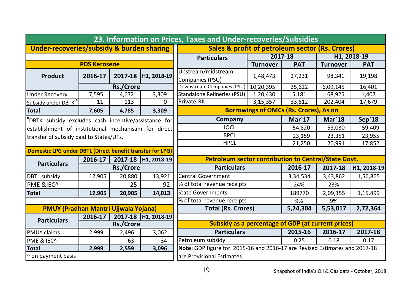| 23. Information on Prices, Taxes and Under-recoveries/Subsidies |             |                     |                                                           |                                                                            |                 |            |                 |             |
|-----------------------------------------------------------------|-------------|---------------------|-----------------------------------------------------------|----------------------------------------------------------------------------|-----------------|------------|-----------------|-------------|
| Under-recoveries/subsidy & burden sharing                       |             |                     |                                                           | Sales & profit of petroleum sector (Rs. Crores)                            |                 |            |                 |             |
|                                                                 |             |                     |                                                           | <b>Particulars</b>                                                         | 2017-18         |            | H1, 2018-19     |             |
| <b>PDS Kerosene</b>                                             |             |                     |                                                           |                                                                            | <b>Turnover</b> | <b>PAT</b> | <b>Turnover</b> | <b>PAT</b>  |
| Product                                                         | 2016-17     |                     | 2017-18 H1, 2018-19                                       | Upstream/midstream<br>Companies (PSU)                                      | 1,48,473        | 27,231     | 98,341          | 19,198      |
|                                                                 |             | Rs./Crore           |                                                           | Downstream Companies (PSU)                                                 | 10,20,395       | 35,622     | 6,09,145        | 16,401      |
| <b>Under Recovery</b>                                           | 7,595       | 4,672               | 3,309                                                     | Standalone Refineries (PSU)                                                | 1,20,430        | 5,181      | 68,925          | 1,407       |
| Subsidy under DBTK <sup>#</sup>                                 | 11          | 113                 | 0                                                         | Private-RIL                                                                | 3,15,357        | 33,612     | 202,404         | 17,679      |
| <b>Total</b>                                                    | 7,605       | 4,785               | 3,309                                                     | <b>Borrowings of OMCs (Rs. Crores), As on</b>                              |                 |            |                 |             |
| DBTK subsidy excludes cash incentive/assistance for             |             |                     | Company                                                   |                                                                            | $Mar$ 17        | $Mar$ 18   | Sep'18          |             |
| establishment of institutional mechanisam for direct            |             |                     | <b>IOCL</b>                                               |                                                                            | 54,820          | 58,030     | 59,409          |             |
| transfer of subsidy paid to States/UTs.                         |             |                     |                                                           | <b>BPCL</b>                                                                |                 | 23,159     | 23,351          | 23,955      |
|                                                                 |             |                     | <b>HPCL</b>                                               |                                                                            | 21,250          | 20,991     | 17,852          |             |
| Domestic LPG under DBTL (Direct benefit transfer for LPG)       |             |                     |                                                           |                                                                            |                 |            |                 |             |
| 2017-18   H1, 2018-19<br>$2016 - 17$                            |             |                     |                                                           | Petroleum sector contribution to Central/State Govt.                       |                 |            |                 |             |
| <b>Particulars</b>                                              |             | <b>Rs./Crore</b>    |                                                           | <b>Particulars</b>                                                         |                 | 2016-17    | 2017-18         | H1, 2018-19 |
| <b>DBTL subsidy</b>                                             | 12,905      | 20,880              | 13,921                                                    | <b>Central Government</b>                                                  |                 | 3,34,534   | 3,43,862        | 1,56,865    |
| <b>PME &amp;IEC^</b>                                            |             | 25                  | 92                                                        | % of total revenue receipts                                                |                 | 24%        | 23%             |             |
| <b>Total</b>                                                    | 12,905      | 20,905              | 14,013                                                    | <b>State Governments</b>                                                   |                 | 189770     | 2,09,155        | 1,15,499    |
|                                                                 |             |                     | % of total revenue receipts                               |                                                                            | 9%              | 9%         |                 |             |
| <b>PMUY (Pradhan Mantri Ujjwala Yojana)</b>                     |             |                     |                                                           | <b>Total (Rs. Crores)</b>                                                  |                 | 5,24,304   | 5,53,017        | 2,72,364    |
| <b>Particulars</b>                                              | $2016 - 17$ | 2017-18 H1, 2018-19 |                                                           |                                                                            |                 |            |                 |             |
|                                                                 | Rs./Crore   |                     | <b>Subsidy as a percentage of GDP (at current prices)</b> |                                                                            |                 |            |                 |             |
| <b>PMUY claims</b>                                              | 2,999       | 2,496               | 3,062                                                     | <b>Particulars</b>                                                         |                 | 2015-16    | 2016-17         | 2017-18     |
| PME & IEC^                                                      |             | 63                  | 34                                                        | Petroleum subsidy                                                          |                 | 0.25       | 0.18            | 0.17        |
| <b>Total</b>                                                    | 2,999       | 2,559               | 3,096                                                     | Note: GDP figure for 2015-16 and 2016-17 are Revised Estimates and 2017-18 |                 |            |                 |             |
| ^ on payment basis                                              |             |                     |                                                           | lare Provisional Estimates                                                 |                 |            |                 |             |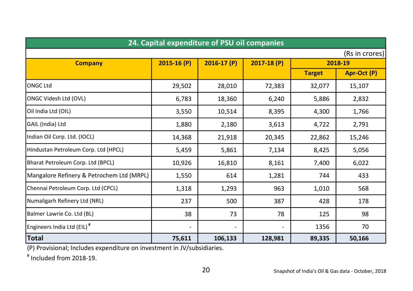| 24. Capital expenditure of PSU oil companies |                          |              |                |               |             |  |  |
|----------------------------------------------|--------------------------|--------------|----------------|---------------|-------------|--|--|
| (Rs in crores)                               |                          |              |                |               |             |  |  |
| <b>Company</b>                               | $2015-16(P)$             | $2016-17(P)$ | $2017 - 18(P)$ | 2018-19       |             |  |  |
|                                              |                          |              |                | <b>Target</b> | Apr-Oct (P) |  |  |
| <b>ONGC Ltd</b>                              | 29,502                   | 28,010       | 72,383         | 32,077        | 15,107      |  |  |
| ONGC Videsh Ltd (OVL)                        | 6,783                    | 18,360       | 6,240          | 5,886         | 2,832       |  |  |
| Oil India Ltd (OIL)                          | 3,550                    | 10,514       | 8,395          | 4,300         | 1,766       |  |  |
| GAIL (India) Ltd                             | 1,880                    | 2,180        | 3,613          | 4,722         | 2,791       |  |  |
| Indian Oil Corp. Ltd. (IOCL)                 | 14,368                   | 21,918       | 20,345         | 22,862        | 15,246      |  |  |
| Hindustan Petroleum Corp. Ltd (HPCL)         | 5,459                    | 5,861        | 7,134          | 8,425         | 5,056       |  |  |
| Bharat Petroleum Corp. Ltd (BPCL)            | 10,926                   | 16,810       | 8,161          | 7,400         | 6,022       |  |  |
| Mangalore Refinery & Petrochem Ltd (MRPL)    | 1,550                    | 614          | 1,281          | 744           | 433         |  |  |
| Chennai Petroleum Corp. Ltd (CPCL)           | 1,318                    | 1,293        | 963            | 1,010         | 568         |  |  |
| Numaligarh Refinery Ltd (NRL)                | 237                      | 500          | 387            | 428           | 178         |  |  |
| Balmer Lawrie Co. Ltd (BL)                   | 38                       | 73           | 78             | 125           | 98          |  |  |
| Engineers India Ltd (EIL) <sup>#</sup>       | $\overline{\phantom{a}}$ |              |                | 1356          | 70          |  |  |
| <b>Total</b>                                 | 75,611                   | 106,133      | 128,981        | 89,335        | 50,166      |  |  |

(P) Provisional; Includes expenditure on investment in JV/subsidiaries.

# Included from 2018-19.